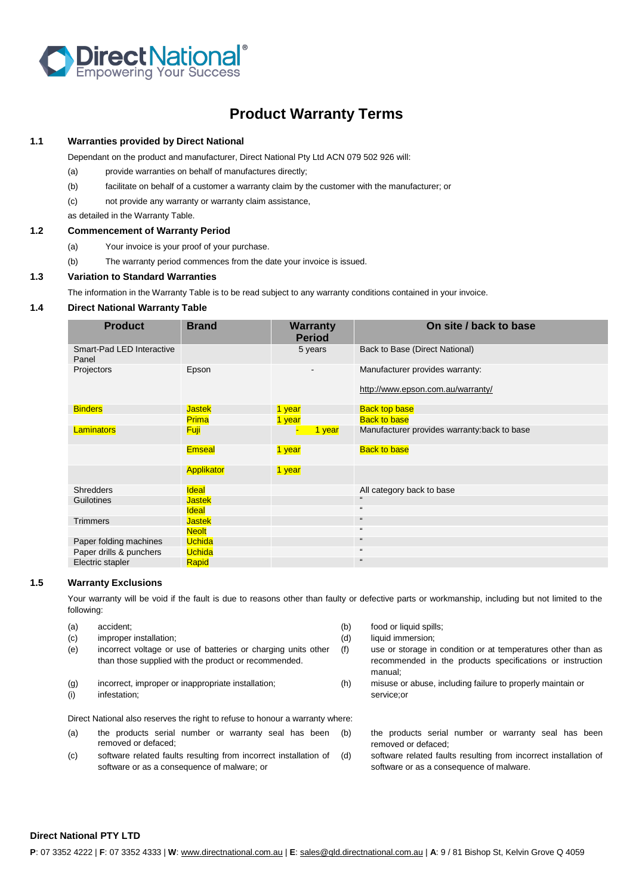

# **Product Warranty Terms**

## **1.1 Warranties provided by Direct National**

Dependant on the product and manufacturer, Direct National Pty Ltd ACN 079 502 926 will:

- (a) provide warranties on behalf of manufactures directly;
- (b) facilitate on behalf of a customer a warranty claim by the customer with the manufacturer; or
- (c) not provide any warranty or warranty claim assistance,

as detailed in the Warranty Table.

## **1.2 Commencement of Warranty Period**

- (a) Your invoice is your proof of your purchase.
- (b) The warranty period commences from the date your invoice is issued.

#### **1.3 Variation to Standard Warranties**

The information in the Warranty Table is to be read subject to any warranty conditions contained in your invoice.

## **1.4 Direct National Warranty Table**

| <b>Product</b>                     | <b>Brand</b>  | <b>Warranty</b><br><b>Period</b> | On site / back to base                       |
|------------------------------------|---------------|----------------------------------|----------------------------------------------|
| Smart-Pad LED Interactive<br>Panel |               | 5 years                          | Back to Base (Direct National)               |
| Projectors                         | Epson         |                                  | Manufacturer provides warranty:              |
|                                    |               |                                  | http://www.epson.com.au/warranty/            |
| <b>Binders</b>                     | <b>Jastek</b> | 1 year                           | <b>Back top base</b>                         |
|                                    | <b>Prima</b>  | 1 year                           | <b>Back to base</b>                          |
| Laminators                         | <b>Fuji</b>   | 1 year                           | Manufacturer provides warranty: back to base |
|                                    | <b>Emseal</b> | 1 year                           | <b>Back to base</b>                          |
|                                    | Applikator    | 1 year                           |                                              |
| Shredders                          | <b>Ideal</b>  |                                  | All category back to base                    |
| Guilotines                         | <b>Jastek</b> |                                  | $\mathfrak{c}\mathfrak{c}$                   |
|                                    | <b>Ideal</b>  |                                  | $\epsilon\epsilon$                           |
| <b>Trimmers</b>                    | <b>Jastek</b> |                                  | $\mathfrak{c}\mathfrak{c}$                   |
|                                    | <b>Neolt</b>  |                                  | $\mathfrak{c}\mathfrak{c}$                   |
| Paper folding machines             | <b>Uchida</b> |                                  | $\epsilon\epsilon$                           |
| Paper drills & punchers            | <b>Uchida</b> |                                  | $\epsilon\epsilon$                           |
| Electric stapler                   | Rapid         |                                  | $\mathfrak{c}\mathfrak{c}$                   |

#### **1.5 Warranty Exclusions**

Your warranty will be void if the fault is due to reasons other than faulty or defective parts or workmanship, including but not limited to the following:

- (a) accident; (b) food or liquid spills; (c) improper installation; (d) liquid immersion; (e) incorrect voltage or use of batteries or charging units other than those supplied with the product or recommended.
- 
- 

Direct National also reserves the right to refuse to honour a warranty where:

- (a) the products serial number or warranty seal has been removed or defaced;
- (c) software related faults resulting from incorrect installation of software or as a consequence of malware; or
- 
- 
- (f) use or storage in condition or at temperatures other than as recommended in the products specifications or instruction manual;
- (g) incorrect, improper or inappropriate installation; (h) misuse or abuse, including failure to properly maintain or (i) infestation; service;or

(b) the products serial number or warranty seal has been removed or defaced;

software related faults resulting from incorrect installation of software or as a consequence of malware.